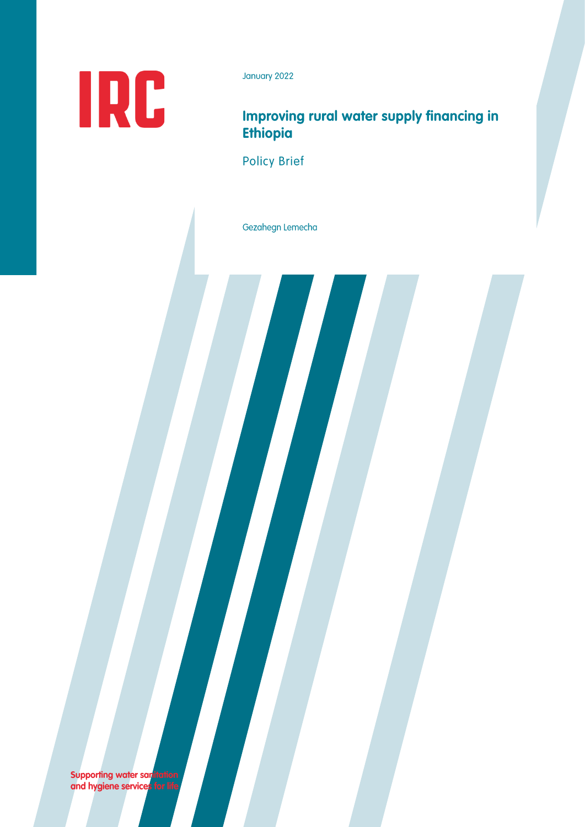

January 2022

# Improving rural water supply financing in **Ethiopia**

**Policy Brief** 

Gezahegn Lemecha

**Supporting water sanitation**<br>and hygiene services for life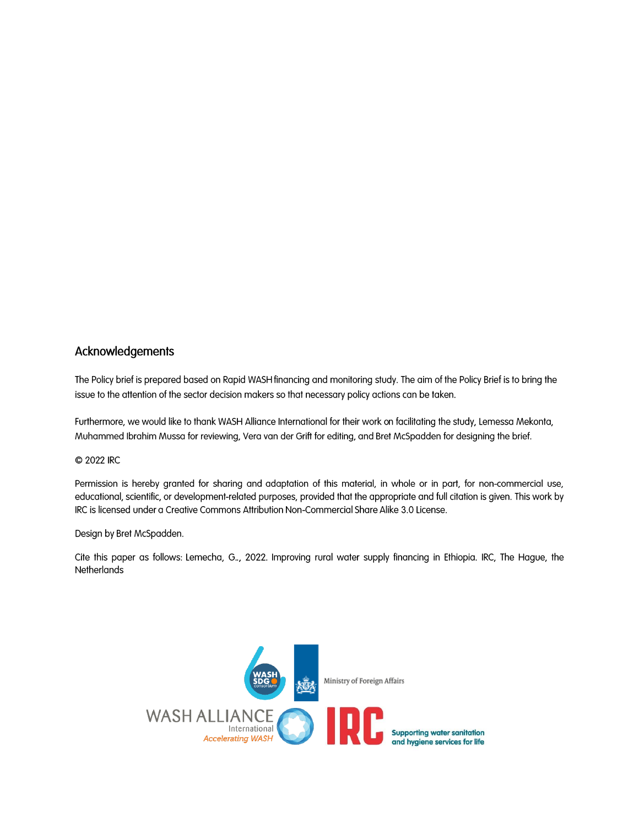### Acknowledgements

The Policy brief is prepared based on Rapid WASH financing and monitoring study. The aim of the Policy Brief is to bring the issue to the attention of the sector decision makers so that necessary policy actions can be taken.

Furthermore, we would like to thank WASH Alliance International for their work on facilitating the study, Lemessa Mekonta, Muhammed Ibrahim Mussa for reviewing, Vera van der Grift for editing, and Bret McSpadden for designing the brief.

#### C 2022 IRC

Permission is hereby granted for sharing and adaptation of this material, in whole or in part, for non-commercial use, educational, scientific, or development-related purposes, provided that the appropriate and full citation is given. This work by IRC is licensed under a Creative Commons Attribution Non-Commercial Share Alike 3.0 License.

#### Design by Bret McSpadden.

Cite this paper as follows: Lemecha, G.., 2022. Improving rural water supply financing in Ethiopia. IRC, The Hague, the **Netherlands** 

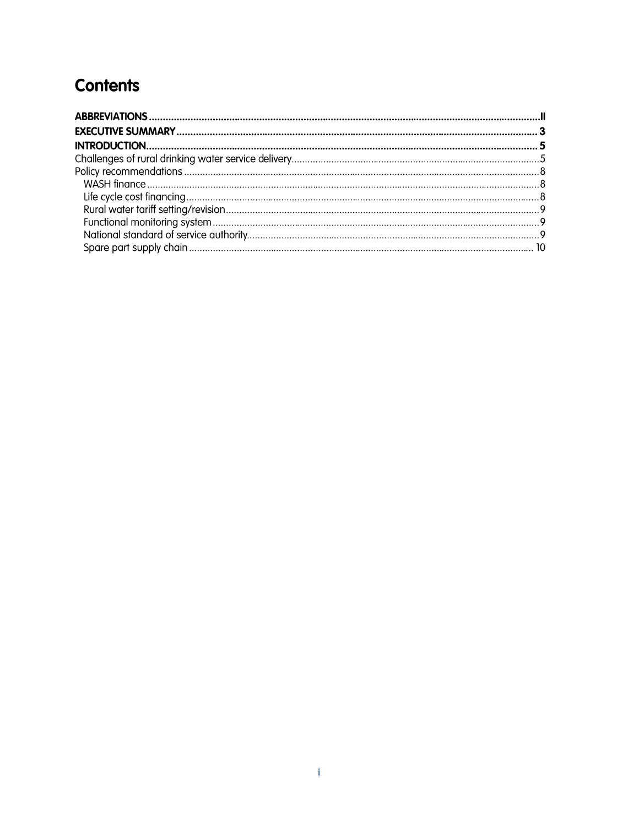# **Contents**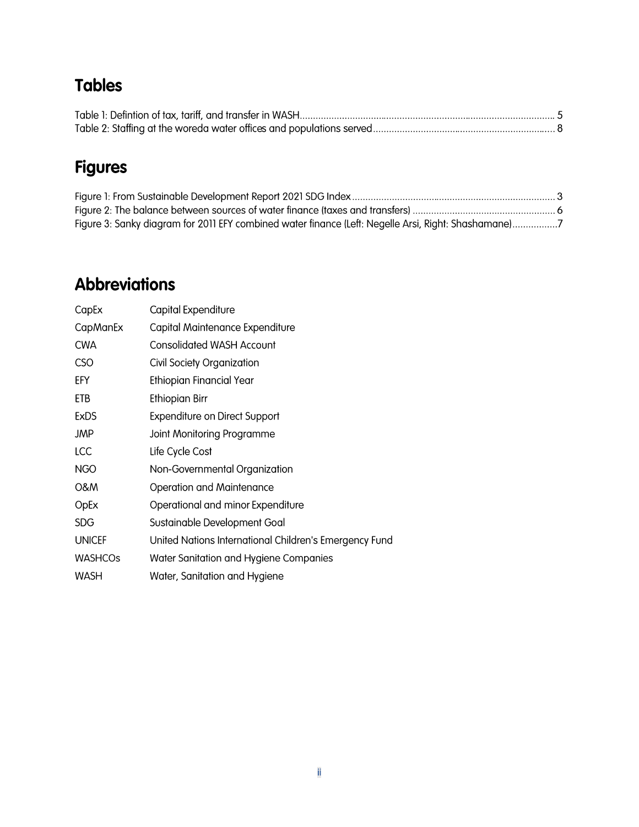# **Tables**

# **Figures**

| Figure 3: Sanky diagram for 2011 EFY combined water finance (Left: Negelle Arsi, Right: Shashamane)7 |  |
|------------------------------------------------------------------------------------------------------|--|

# **Abbreviations**

| CapEx          | Capital Expenditure                                    |
|----------------|--------------------------------------------------------|
| CapManEx       | Capital Maintenance Expenditure                        |
| <b>CWA</b>     | Consolidated WASH Account                              |
| <b>CSO</b>     | Civil Society Organization                             |
| EFY            | <b>Ethiopian Financial Year</b>                        |
| ETB            | Ethiopian Birr                                         |
| ExDS           | <b>Expenditure on Direct Support</b>                   |
| JMP            | Joint Monitoring Programme                             |
| LCC            | Life Cycle Cost                                        |
| NGO            | Non-Governmental Organization                          |
| <b>O&amp;M</b> | <b>Operation and Maintenance</b>                       |
| OpEx           | Operational and minor Expenditure                      |
| <b>SDG</b>     | Sustainable Development Goal                           |
| <b>UNICEF</b>  | United Nations International Children's Emergency Fund |
| <b>WASHCOs</b> | Water Sanitation and Hygiene Companies                 |
| <b>WASH</b>    | Water, Sanitation and Hygiene                          |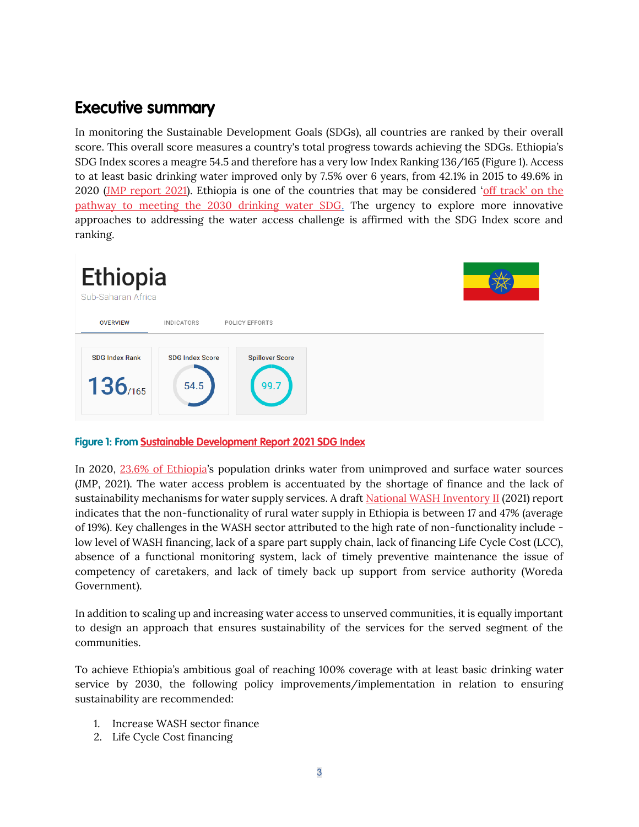# **Executive summary**

In monitoring the Sustainable Development Goals (SDGs), all countries are ranked by their overall score. This overall score measures a country's total progress towards achieving the SDGs. Ethiopia's SDG Index scores a meagre 54.5 and therefore has a very low Index Ranking 136/165 (Figure 1). Access to at least basic drinking water improved only by 7.5% over 6 years, from 42.1% in 2015 to 49.6% in 2020 [\(JMP report 2021\)](https://www.unwater.org/publication_categories/whounicef-joint-monitoring-programme-for-water-supply-sanitation-hygiene-jmp/). Ethiopia is one of the countries that may be considered ['off track' on the](https://dashboards.sdgindex.org/profiles/ethiopia)  [pathway to meeting the 2030 drinking water SDG.](https://dashboards.sdgindex.org/profiles/ethiopia) The urgency to explore more innovative approaches to addressing the water access challenge is affirmed with the SDG Index score and ranking.



### Figure 1: From Sustainable Development Report 2021 SDG Index

In 2020, [23.6% of Ethiopia](https://www.unwater.org/publication_categories/whounicef-joint-monitoring-programme-for-water-supply-sanitation-hygiene-jmp/)'s population drinks water from unimproved and surface water sources (JMP, 2021). The water access problem is accentuated by the shortage of finance and the lack of sustainability mechanisms for water supply services. A [draft National WASH Inventory II](https://www.ircwash.org/sites/default/files/national_wash_invetory_2_and_mis_report.pdf) (2021) report indicates that the non-functionality of rural water supply in Ethiopia is between 17 and 47% (average of 19%). Key challenges in the WASH sector attributed to the high rate of non-functionality include low level of WASH financing, lack of a spare part supply chain, lack of financing Life Cycle Cost (LCC), absence of a functional monitoring system, lack of timely preventive maintenance the issue of competency of caretakers, and lack of timely back up support from service authority (Woreda Government).

In addition to scaling up and increasing water access to unserved communities, it is equally important to design an approach that ensures sustainability of the services for the served segment of the communities.

To achieve Ethiopia's ambitious goal of reaching 100% coverage with at least basic drinking water service by 2030, the following policy improvements/implementation in relation to ensuring sustainability are recommended:

- 1. Increase WASH sector finance
- 2. Life Cycle Cost financing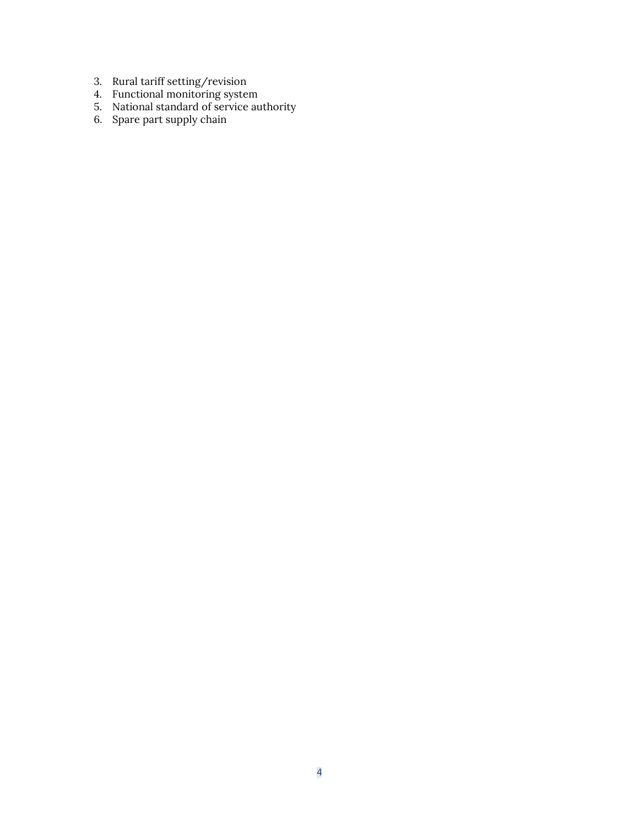- 3. Rural tariff setting/revision
- 4. Functional monitoring system
- 5. National standard of service authority
- 6. Spare part supply chain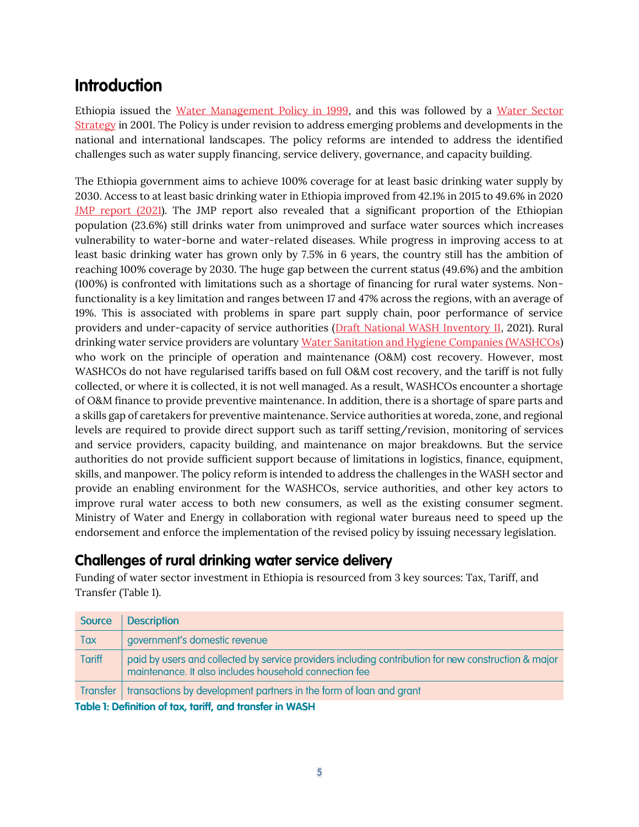# **Introduction**

Ethiopia issued the [Water Management Policy in 1999,](https://www.cmpethiopia.org/media/ethiopian_water_resource_management_policy) and this was followed by a [Water Sector](https://www.cmpethiopia.org/media/water_sector_strategy)  [Strategy](https://www.cmpethiopia.org/media/water_sector_strategy) in 2001. The Policy is under revision to address emerging problems and developments in the national and international landscapes. The policy reforms are intended to address the identified challenges such as water supply financing, service delivery, governance, and capacity building.

The Ethiopia government aims to achieve 100% coverage for at least basic drinking water supply by 2030. Access to at least basic drinking water in Ethiopia improved from 42.1% in 2015 to 49.6% in 2020 [JMP report \(2021\)](https://www.who.int/publications/i/item/9789240030848). The JMP report also revealed that a significant proportion of the Ethiopian population (23.6%) still drinks water from unimproved and surface water sources which increases vulnerability to water-borne and water-related diseases. While progress in improving access to at least basic drinking water has grown only by 7.5% in 6 years, the country still has the ambition of reaching 100% coverage by 2030. The huge gap between the current status (49.6%) and the ambition (100%) is confronted with limitations such as a shortage of financing for rural water systems. Nonfunctionality is a key limitation and ranges between 17 and 47% across the regions, with an average of 19%. This is associated with problems in spare part supply chain, poor performance of service providers and under-capacity of service authorities [\(Draft National WASH Inventory II,](https://www.ircwash.org/sites/default/files/national_wash_invetory_2_and_mis_report.pdf) 2021). Rural drinking water service providers are voluntary [Water Sanitation and Hygiene Companies \(WASHCOs\)](https://www.cmpethiopia.org/page/1695) who work on the principle of operation and maintenance (O&M) cost recovery. However, most WASHCOs do not have regularised tariffs based on full O&M cost recovery, and the tariff is not fully collected, or where it is collected, it is not well managed. As a result, WASHCOs encounter a shortage of O&M finance to provide preventive maintenance. In addition, there is a shortage of spare parts and a skills gap of caretakers for preventive maintenance. Service authorities at woreda, zone, and regional levels are required to provide direct support such as tariff setting/revision, monitoring of services and service providers, capacity building, and maintenance on major breakdowns. But the service authorities do not provide sufficient support because of limitations in logistics, finance, equipment, skills, and manpower. The policy reform is intended to address the challenges in the WASH sector and provide an enabling environment for the WASHCOs, service authorities, and other key actors to improve rural water access to both new consumers, as well as the existing consumer segment. Ministry of Water and Energy in collaboration with regional water bureaus need to speed up the endorsement and enforce the implementation of the revised policy by issuing necessary legislation.

# **Challenges of rural drinking water service delivery**

Funding of water sector investment in Ethiopia is resourced from 3 key sources: Tax, Tariff, and Transfer (Table 1).

| Source                                                    | <b>Description</b>                                                                                                                                             |  |  |  |  |
|-----------------------------------------------------------|----------------------------------------------------------------------------------------------------------------------------------------------------------------|--|--|--|--|
| Tax                                                       | government's domestic revenue                                                                                                                                  |  |  |  |  |
| <b>Tariff</b>                                             | paid by users and collected by service providers including contribution for new construction & major<br>maintenance. It also includes household connection fee |  |  |  |  |
|                                                           | Transfer   transactions by development partners in the form of loan and grant                                                                                  |  |  |  |  |
| Table 1. Definition of the Angliff, and tunnates in MACH. |                                                                                                                                                                |  |  |  |  |

Table 1: Detinition ot tax, taritt, and transter in WASH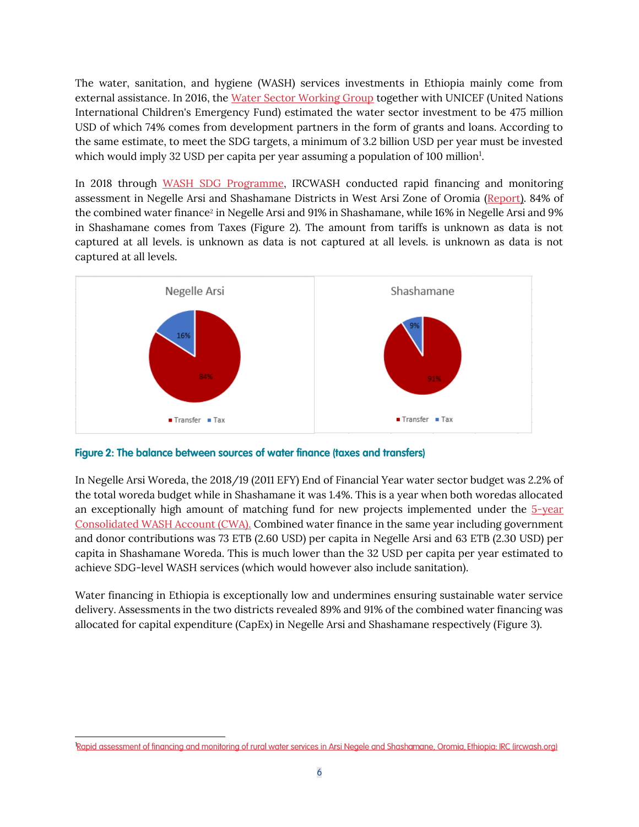The water, sanitation, and hygiene (WASH) services investments in Ethiopia mainly come from external assistance. In 2016, the [Water Sector Working Group](https://www.cmpethiopia.org/content/download/733/3685/file/Water%20Sector%20Working%20Group%20leaflet%20(Jan%202014).pdf) together with UNICEF (United Nations International Children's Emergency Fund) estimated the water sector investment to be 475 million USD of which 74% comes from development partners in the form of grants and loans. According to the same estimate, to meet the SDG targets, a minimum of 3.2 billion USD per year must be invested which would imply 32 USD per capita per year assuming a population of 100 million<sup>1</sup>.

In 2018 through [WASH SDG Programme,](https://wash-alliance.org/) IRCWASH conducted rapid financing and monitoring assessment in Negelle Arsi and Shashamane Districts in West Arsi Zone of Oromia [\(Report\).](https://www.ircwash.org/resources/rapid-assessment-financing-and-monitoring-rural-water-services-arsi-negele-and-shashemene) 84% of the combined water finance $^{\rm 2}$  in Negelle Arsi and 91% in Shashamane, while 16% in Negelle Arsi and 9% in Shashamane comes from Taxes (Figure 2). The amount from tariffs is unknown as data is not captured at all levels. is unknown as data is not captured at all levels. is unknown as data is not captured at all levels.



Figure 2: The balance between sources of water finance (taxes and transfers)

In Negelle Arsi Woreda, the 2018/19 (2011 EFY) End of Financial Year water sector budget was 2.2% of the total woreda budget while in Shashamane it was 1.4%. This is a year when both woredas allocated an exceptionally high amount of matching fund for new projects implemented under the 5-year [Consolidated WASH Account \(CWA\).](https://www.moh.gov.et/site/projects-3-col/One_WaSH_National_Program_Consolidated_WaSH_Account) Combined water finance in the same year including government and donor contributions was 73 ETB (2.60 USD) per capita in Negelle Arsi and 63 ETB (2.30 USD) per capita in Shashamane Woreda. This is much lower than the 32 USD per capita per year estimated to achieve SDG-level WASH services (which would however also include sanitation).

Water financing in Ethiopia is exceptionally low and undermines ensuring sustainable water service delivery. Assessments in the two districts revealed 89% and 91% of the combined water financing was allocated for capital expenditure (CapEx) in Negelle Arsi and Shashamane respectively (Figure 3).

Rapid assessment of financing and monitoring of rural water services in Arsi Negele and Shashamane, Oromia, Ethiopia: IRC (ircwash.org)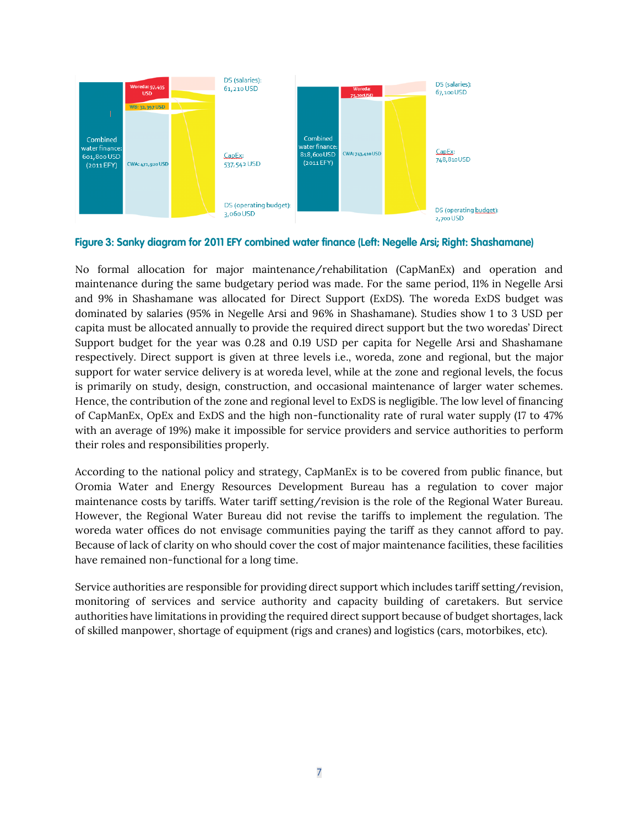

#### Figure 3: Sanky diagram for 2011 EFY combined water finance (Left: Negelle Arsi; Right: Shashamane)

No formal allocation for major maintenance/rehabilitation (CapManEx) and operation and maintenance during the same budgetary period was made. For the same period, 11% in Negelle Arsi and 9% in Shashamane was allocated for Direct Support (ExDS). The woreda ExDS budget was dominated by salaries (95% in Negelle Arsi and 96% in Shashamane). Studies show 1 to 3 USD per capita must be allocated annually to provide the required direct support but the two woredas' Direct Support budget for the year was 0.28 and 0.19 USD per capita for Negelle Arsi and Shashamane respectively. Direct support is given at three levels i.e., woreda, zone and regional, but the major support for water service delivery is at woreda level, while at the zone and regional levels, the focus is primarily on study, design, construction, and occasional maintenance of larger water schemes. Hence, the contribution of the zone and regional level to ExDS is negligible. The low level of financing of CapManEx, OpEx and ExDS and the high non-functionality rate of rural water supply (17 to 47% with an average of 19%) make it impossible for service providers and service authorities to perform their roles and responsibilities properly.

According to the national policy and strategy, CapManEx is to be covered from public finance, but Oromia Water and Energy Resources Development Bureau has a regulation to cover major maintenance costs by tariffs. Water tariff setting/revision is the role of the Regional Water Bureau. However, the Regional Water Bureau did not revise the tariffs to implement the regulation. The woreda water offices do not envisage communities paying the tariff as they cannot afford to pay. Because of lack of clarity on who should cover the cost of major maintenance facilities, these facilities have remained non-functional for a long time.

Service authorities are responsible for providing direct support which includes tariff setting/revision, monitoring of services and service authority and capacity building of caretakers. But service authorities have limitations in providing the required direct support because of budget shortages, lack of skilled manpower, shortage of equipment (rigs and cranes) and logistics (cars, motorbikes, etc).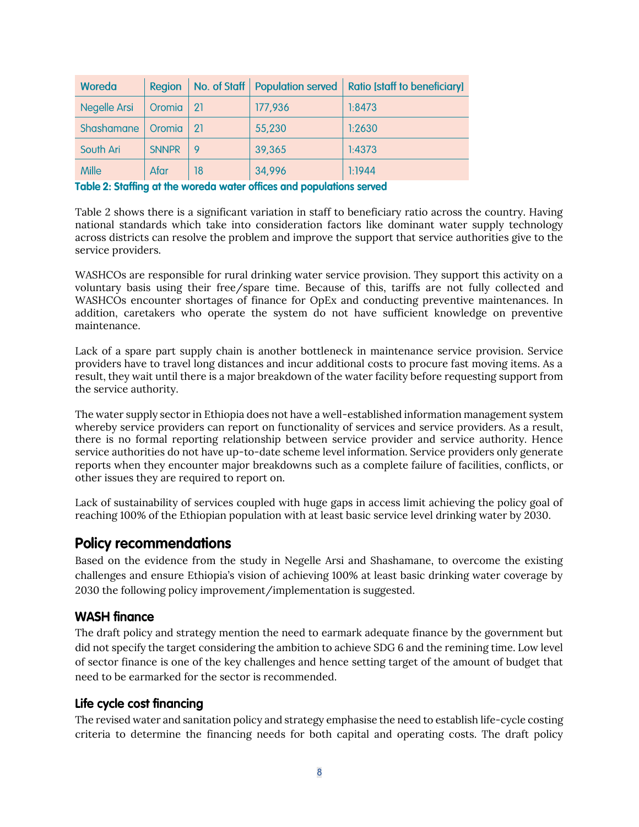| Woreda       | Region       |     |         | No. of Staff   Population served   Ratio [staff to beneficiary] |
|--------------|--------------|-----|---------|-----------------------------------------------------------------|
| Negelle Arsi | Oromia       | -21 | 177,936 | 1:8473                                                          |
| Shashamane   | Oromia       | 21  | 55,230  | 1:2630                                                          |
| South Ari    | <b>SNNPR</b> |     | 39,365  | 1:4373                                                          |
| <b>Mille</b> | Afar         | 18  | 34,996  | 1:1944                                                          |

#### Table 2: Staffing at the woreda water offices and populations served

Table 2 shows there is a significant variation in staff to beneficiary ratio across the country. Having national standards which take into consideration factors like dominant water supply technology across districts can resolve the problem and improve the support that service authorities give to the service providers.

WASHCOs are responsible for rural drinking water service provision. They support this activity on a voluntary basis using their free/spare time. Because of this, tariffs are not fully collected and WASHCOs encounter shortages of finance for OpEx and conducting preventive maintenances. In addition, caretakers who operate the system do not have sufficient knowledge on preventive maintenance.

Lack of a spare part supply chain is another bottleneck in maintenance service provision. Service providers have to travel long distances and incur additional costs to procure fast moving items. As a result, they wait until there is a major breakdown of the water facility before requesting support from the service authority.

The water supply sector in Ethiopia does not have a well-established information management system whereby service providers can report on functionality of services and service providers. As a result, there is no formal reporting relationship between service provider and service authority. Hence service authorities do not have up-to-date scheme level information. Service providers only generate reports when they encounter major breakdowns such as a complete failure of facilities, conflicts, or other issues they are required to report on.

Lack of sustainability of services coupled with huge gaps in access limit achieving the policy goal of reaching 100% of the Ethiopian population with at least basic service level drinking water by 2030.

# **Policy recommendations**

Based on the evidence from the study in Negelle Arsi and Shashamane, to overcome the existing challenges and ensure Ethiopia's vision of achieving 100% at least basic drinking water coverage by 2030 the following policy improvement/implementation is suggested.

### **WASH finance**

The draft policy and strategy mention the need to earmark adequate finance by the government but did not specify the target considering the ambition to achieve SDG 6 and the remining time. Low level of sector finance is one of the key challenges and hence setting target of the amount of budget that need to be earmarked for the sector is recommended.

### Life cycle cost financing

The revised water and sanitation policy and strategy emphasise the need to establish life-cycle costing criteria to determine the financing needs for both capital and operating costs. The draft policy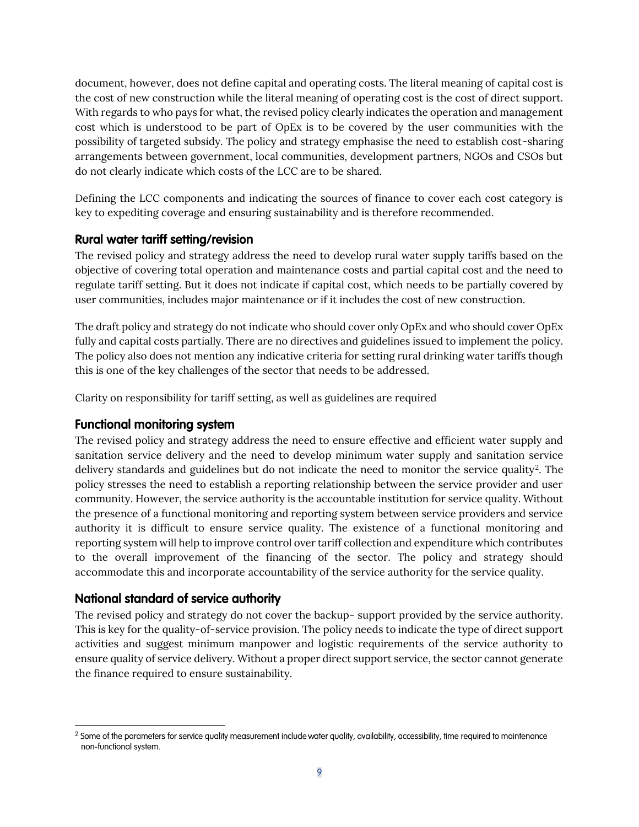document, however, does not define capital and operating costs. The literal meaning of capital cost is the cost of new construction while the literal meaning of operating cost is the cost of direct support. With regards to who pays for what, the revised policy clearly indicates the operation and management cost which is understood to be part of OpEx is to be covered by the user communities with the possibility of targeted subsidy. The policy and strategy emphasise the need to establish cost-sharing arrangements between government, local communities, development partners, NGOs and CSOs but do not clearly indicate which costs of the LCC are to be shared.

Defining the LCC components and indicating the sources of finance to cover each cost category is key to expediting coverage and ensuring sustainability and is therefore recommended.

## **Rural water tariff setting/revision**

The revised policy and strategy address the need to develop rural water supply tariffs based on the objective of covering total operation and maintenance costs and partial capital cost and the need to regulate tariff setting. But it does not indicate if capital cost, which needs to be partially covered by user communities, includes major maintenance or if it includes the cost of new construction.

The draft policy and strategy do not indicate who should cover only OpEx and who should cover OpEx fully and capital costs partially. There are no directives and guidelines issued to implement the policy. The policy also does not mention any indicative criteria for setting rural drinking water tariffs though this is one of the key challenges of the sector that needs to be addressed.

Clarity on responsibility for tariff setting, as well as guidelines are required

## **Functional monitoring system**

The revised policy and strategy address the need to ensure effective and efficient water supply and sanitation service delivery and the need to develop minimum water supply and sanitation service delivery standards and guidelines but do not indicate the need to monitor the service quality<sup>2</sup>. The policy stresses the need to establish a reporting relationship between the service provider and user community. However, the service authority is the accountable institution for service quality. Without the presence of a functional monitoring and reporting system between service providers and service authority it is difficult to ensure service quality. The existence of a functional monitoring and reporting system will help to improve control over tariff collection and expenditure which contributes to the overall improvement of the financing of the sector. The policy and strategy should accommodate this and incorporate accountability of the service authority for the service quality.

## National standard of service authority

The revised policy and strategy do not cover the backup- support provided by the service authority. This is key for the quality-of-service provision. The policy needs to indicate the type of direct support activities and suggest minimum manpower and logistic requirements of the service authority to ensure quality of service delivery. Without a proper direct support service, the sector cannot generate the finance required to ensure sustainability.

<sup>&</sup>lt;sup>2</sup> Some of the parameters for service quality measurement include water quality, availability, accessibility, time required to maintenance non-functional system.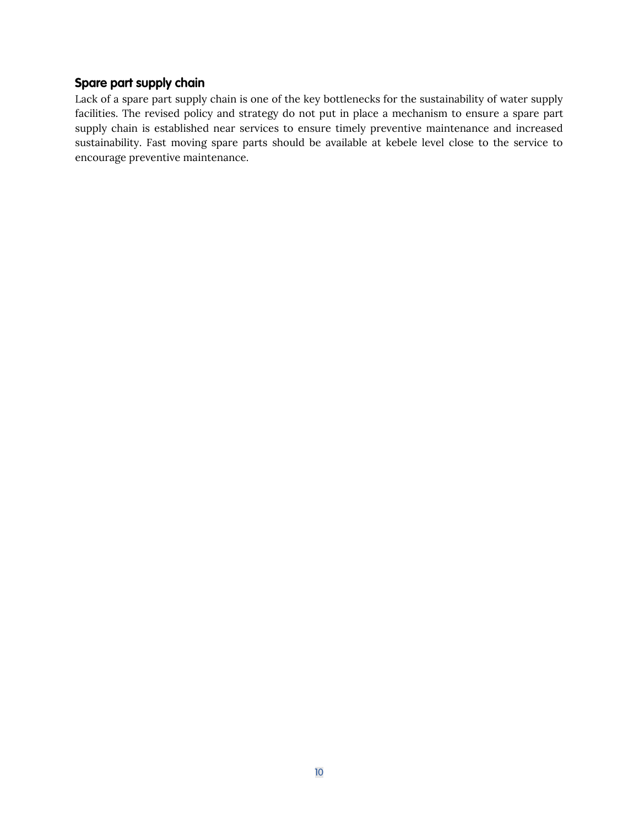## Spare part supply chain

Lack of a spare part supply chain is one of the key bottlenecks for the sustainability of water supply facilities. The revised policy and strategy do not put in place a mechanism to ensure a spare part supply chain is established near services to ensure timely preventive maintenance and increased sustainability. Fast moving spare parts should be available at kebele level close to the service to encourage preventive maintenance.